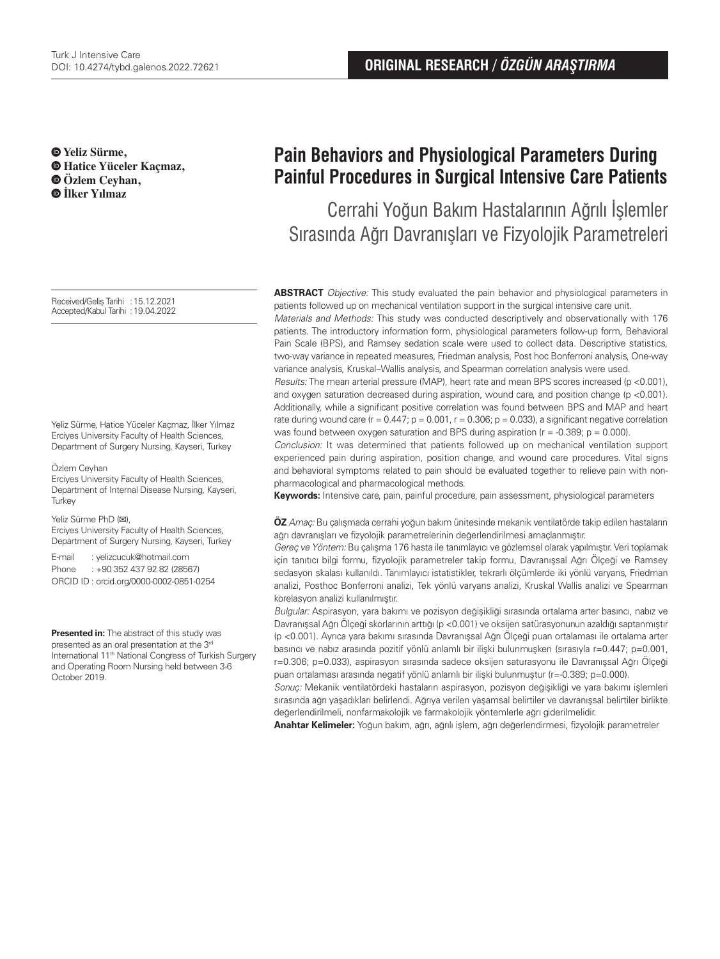**Yeliz Sürme, Hatice Yüceler Kaçmaz, Özlem Ceyhan, İlker Yılmaz**

Received/Geliş Tarihi :15.12.2021 Accepted/Kabul Tarihi :19.04.2022

Yeliz Sürme, Hatice Yüceler Kaçmaz, İlker Yılmaz Erciyes University Faculty of Health Sciences, Department of Surgery Nursing, Kayseri, Turkey

Özlem Ceyhan

Erciyes University Faculty of Health Sciences, Department of Internal Disease Nursing, Kayseri, **Turkey** 

Yeliz Sürme PhD (**✉**),

Erciyes University Faculty of Health Sciences, Department of Surgery Nursing, Kayseri, Turkey

E-mail : yelizcucuk@hotmail.com Phone : +90 352 437 92 82 (28567) ORCID ID : orcid.org/0000-0002-0851-0254

**Presented in:** The abstract of this study was presented as an oral presentation at the 3<sup>rd</sup> International 11<sup>th</sup> National Congress of Turkish Surgery and Operating Room Nursing held between 3-6 October 2019.

# **Pain Behaviors and Physiological Parameters During Painful Procedures in Surgical Intensive Care Patients**

Cerrahi Yoğun Bakım Hastalarının Ağrılı İşlemler Sırasında Ağrı Davranışları ve Fizyolojik Parametreleri

**ABSTRACT** Objective: This study evaluated the pain behavior and physiological parameters in patients followed up on mechanical ventilation support in the surgical intensive care unit.

Materials and Methods: This study was conducted descriptively and observationally with 176 patients. The introductory information form, physiological parameters follow-up form, Behavioral Pain Scale (BPS), and Ramsey sedation scale were used to collect data. Descriptive statistics, two-way variance in repeated measures, Friedman analysis, Post hoc Bonferroni analysis, One-way variance analysis, Kruskal–Wallis analysis, and Spearman correlation analysis were used.

Results: The mean arterial pressure (MAP), heart rate and mean BPS scores increased (p <0.001), and oxygen saturation decreased during aspiration, wound care, and position change (p <0.001). Additionally, while a significant positive correlation was found between BPS and MAP and heart rate during wound care ( $r = 0.447$ ;  $p = 0.001$ ,  $r = 0.306$ ;  $p = 0.033$ ), a significant negative correlation was found between oxygen saturation and BPS during aspiration ( $r = -0.389$ ;  $p = 0.000$ ).

Conclusion: It was determined that patients followed up on mechanical ventilation support experienced pain during aspiration, position change, and wound care procedures. Vital signs and behavioral symptoms related to pain should be evaluated together to relieve pain with nonpharmacological and pharmacological methods.

**Keywords:** Intensive care, pain, painful procedure, pain assessment, physiological parameters

**ÖZ** Amaç: Bu çalışmada cerrahi yoğun bakım ünitesinde mekanik ventilatörde takip edilen hastaların ağrı davranışları ve fizyolojik parametrelerinin değerlendirilmesi amaçlanmıştır.

Gereç ve Yöntem: Bu çalışma 176 hasta ile tanımlayıcı ve gözlemsel olarak yapılmıştır. Veri toplamak için tanıtıcı bilgi formu, fizyolojik parametreler takip formu, Davranışsal Ağrı Ölçeği ve Ramsey sedasyon skalası kullanıldı. Tanımlayıcı istatistikler, tekrarlı ölçümlerde iki yönlü varyans, Friedman analizi, Posthoc Bonferroni analizi, Tek yönlü varyans analizi, Kruskal Wallis analizi ve Spearman korelasyon analizi kullanılmıştır.

Bulgular: Aspirasyon, yara bakımı ve pozisyon değişikliği sırasında ortalama arter basıncı, nabız ve Davranışsal Ağrı Ölçeği skorlarının arttığı (p <0.001) ve oksijen satürasyonunun azaldığı saptanmıştır (p <0.001). Ayrıca yara bakımı sırasında Davranışsal Ağrı Ölçeği puan ortalaması ile ortalama arter basıncı ve nabız arasında pozitif yönlü anlamlı bir ilişki bulunmuşken (sırasıyla r=0.447; p=0.001, r=0.306; p=0.033), aspirasyon sırasında sadece oksijen saturasyonu ile Davranışsal Ağrı Ölçeği puan ortalaması arasında negatif yönlü anlamlı bir ilişki bulunmuştur (r=-0.389; p=0.000).

Sonuç: Mekanik ventilatördeki hastaların aspirasyon, pozisyon değişikliği ve yara bakımı işlemleri sırasında ağrı yaşadıkları belirlendi. Ağrıya verilen yaşamsal belirtiler ve davranışsal belirtiler birlikte değerlendirilmeli, nonfarmakolojik ve farmakolojik yöntemlerle ağrı giderilmelidir.

**Anahtar Kelimeler:** Yoğun bakım, ağrı, ağrılı işlem, ağrı değerlendirmesi, fizyolojik parametreler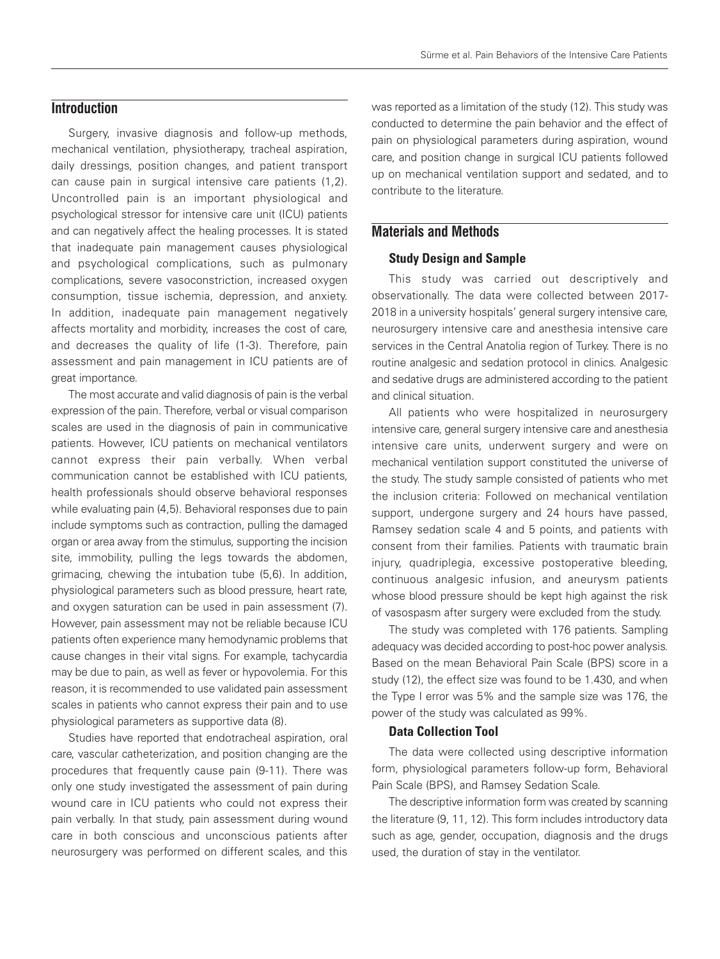## **Introduction**

Surgery, invasive diagnosis and follow-up methods, mechanical ventilation, physiotherapy, tracheal aspiration, daily dressings, position changes, and patient transport can cause pain in surgical intensive care patients (1,2). Uncontrolled pain is an important physiological and psychological stressor for intensive care unit (ICU) patients and can negatively affect the healing processes. It is stated that inadequate pain management causes physiological and psychological complications, such as pulmonary complications, severe vasoconstriction, increased oxygen consumption, tissue ischemia, depression, and anxiety. In addition, inadequate pain management negatively affects mortality and morbidity, increases the cost of care, and decreases the quality of life (1-3). Therefore, pain assessment and pain management in ICU patients are of great importance.

The most accurate and valid diagnosis of pain is the verbal expression of the pain. Therefore, verbal or visual comparison scales are used in the diagnosis of pain in communicative patients. However, ICU patients on mechanical ventilators cannot express their pain verbally. When verbal communication cannot be established with ICU patients, health professionals should observe behavioral responses while evaluating pain (4,5). Behavioral responses due to pain include symptoms such as contraction, pulling the damaged organ or area away from the stimulus, supporting the incision site, immobility, pulling the legs towards the abdomen, grimacing, chewing the intubation tube (5,6). In addition, physiological parameters such as blood pressure, heart rate, and oxygen saturation can be used in pain assessment (7). However, pain assessment may not be reliable because ICU patients often experience many hemodynamic problems that cause changes in their vital signs. For example, tachycardia may be due to pain, as well as fever or hypovolemia. For this reason, it is recommended to use validated pain assessment scales in patients who cannot express their pain and to use physiological parameters as supportive data (8).

Studies have reported that endotracheal aspiration, oral care, vascular catheterization, and position changing are the procedures that frequently cause pain (9-11). There was only one study investigated the assessment of pain during wound care in ICU patients who could not express their pain verbally. In that study, pain assessment during wound care in both conscious and unconscious patients after neurosurgery was performed on different scales, and this

was reported as a limitation of the study (12). This study was conducted to determine the pain behavior and the effect of pain on physiological parameters during aspiration, wound care, and position change in surgical ICU patients followed up on mechanical ventilation support and sedated, and to contribute to the literature.

# **Materials and Methods**

#### Study Design and Sample

This study was carried out descriptively and observationally. The data were collected between 2017- 2018 in a university hospitals' general surgery intensive care, neurosurgery intensive care and anesthesia intensive care services in the Central Anatolia region of Turkey. There is no routine analgesic and sedation protocol in clinics. Analgesic and sedative drugs are administered according to the patient and clinical situation.

All patients who were hospitalized in neurosurgery intensive care, general surgery intensive care and anesthesia intensive care units, underwent surgery and were on mechanical ventilation support constituted the universe of the study. The study sample consisted of patients who met the inclusion criteria: Followed on mechanical ventilation support, undergone surgery and 24 hours have passed, Ramsey sedation scale 4 and 5 points, and patients with consent from their families. Patients with traumatic brain injury, quadriplegia, excessive postoperative bleeding, continuous analgesic infusion, and aneurysm patients whose blood pressure should be kept high against the risk of vasospasm after surgery were excluded from the study.

The study was completed with 176 patients. Sampling adequacy was decided according to post-hoc power analysis. Based on the mean Behavioral Pain Scale (BPS) score in a study (12), the effect size was found to be 1.430, and when the Type I error was 5% and the sample size was 176, the power of the study was calculated as 99%.

#### Data Collection Tool

The data were collected using descriptive information form, physiological parameters follow-up form, Behavioral Pain Scale (BPS), and Ramsey Sedation Scale.

The descriptive information form was created by scanning the literature (9, 11, 12). This form includes introductory data such as age, gender, occupation, diagnosis and the drugs used, the duration of stay in the ventilator.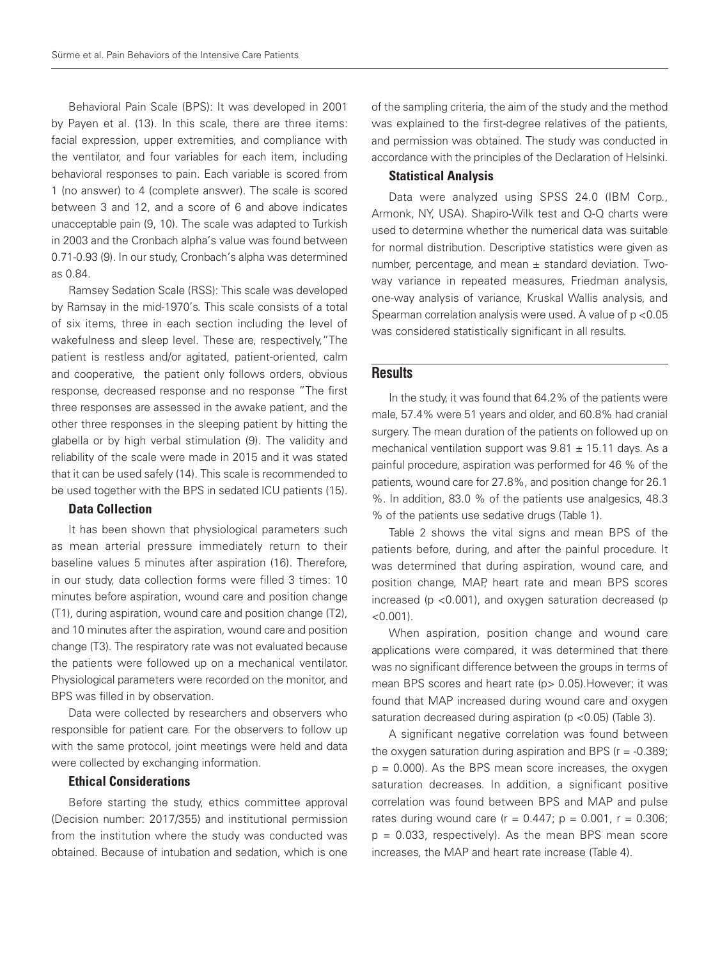Behavioral Pain Scale (BPS): It was developed in 2001 by Payen et al. (13). In this scale, there are three items: facial expression, upper extremities, and compliance with the ventilator, and four variables for each item, including behavioral responses to pain. Each variable is scored from 1 (no answer) to 4 (complete answer). The scale is scored between 3 and 12, and a score of 6 and above indicates unacceptable pain (9, 10). The scale was adapted to Turkish in 2003 and the Cronbach alpha's value was found between 0.71-0.93 (9). In our study, Cronbach's alpha was determined as 0.84.

Ramsey Sedation Scale (RSS): This scale was developed by Ramsay in the mid-1970's. This scale consists of a total of six items, three in each section including the level of wakefulness and sleep level. These are, respectively,"The patient is restless and/or agitated, patient-oriented, calm and cooperative, the patient only follows orders, obvious response, decreased response and no response "The first three responses are assessed in the awake patient, and the other three responses in the sleeping patient by hitting the glabella or by high verbal stimulation (9). The validity and reliability of the scale were made in 2015 and it was stated that it can be used safely (14). This scale is recommended to be used together with the BPS in sedated ICU patients (15).

## Data Collection

It has been shown that physiological parameters such as mean arterial pressure immediately return to their baseline values 5 minutes after aspiration (16). Therefore, in our study, data collection forms were filled 3 times: 10 minutes before aspiration, wound care and position change (T1), during aspiration, wound care and position change (T2), and 10 minutes after the aspiration, wound care and position change (T3). The respiratory rate was not evaluated because the patients were followed up on a mechanical ventilator. Physiological parameters were recorded on the monitor, and BPS was filled in by observation.

Data were collected by researchers and observers who responsible for patient care. For the observers to follow up with the same protocol, joint meetings were held and data were collected by exchanging information.

## Ethical Considerations

Before starting the study, ethics committee approval (Decision number: 2017/355) and institutional permission from the institution where the study was conducted was obtained. Because of intubation and sedation, which is one of the sampling criteria, the aim of the study and the method was explained to the first-degree relatives of the patients, and permission was obtained. The study was conducted in accordance with the principles of the Declaration of Helsinki.

### Statistical Analysis

Data were analyzed using SPSS 24.0 (IBM Corp., Armonk, NY, USA). Shapiro-Wilk test and Q-Q charts were used to determine whether the numerical data was suitable for normal distribution. Descriptive statistics were given as number, percentage, and mean  $\pm$  standard deviation. Twoway variance in repeated measures, Friedman analysis, one-way analysis of variance, Kruskal Wallis analysis, and Spearman correlation analysis were used. A value of p <0.05 was considered statistically significant in all results.

## **Results**

In the study, it was found that 64.2% of the patients were male, 57.4% were 51 years and older, and 60.8% had cranial surgery. The mean duration of the patients on followed up on mechanical ventilation support was  $9.81 \pm 15.11$  days. As a painful procedure, aspiration was performed for 46 % of the patients, wound care for 27.8%, and position change for 26.1 %. In addition, 83.0 % of the patients use analgesics, 48.3 % of the patients use sedative drugs (Table 1).

Table 2 shows the vital signs and mean BPS of the patients before, during, and after the painful procedure. It was determined that during aspiration, wound care, and position change, MAP, heart rate and mean BPS scores increased (p <0.001), and oxygen saturation decreased (p  $< 0.001$ ).

When aspiration, position change and wound care applications were compared, it was determined that there was no significant difference between the groups in terms of mean BPS scores and heart rate (p> 0.05). However; it was found that MAP increased during wound care and oxygen saturation decreased during aspiration (p < 0.05) (Table 3).

A significant negative correlation was found between the oxygen saturation during aspiration and BPS ( $r = -0.389$ ;  $p = 0.000$ ). As the BPS mean score increases, the oxygen saturation decreases. In addition, a significant positive correlation was found between BPS and MAP and pulse rates during wound care  $(r = 0.447; p = 0.001, r = 0.306;$  $p = 0.033$ , respectively). As the mean BPS mean score increases, the MAP and heart rate increase (Table 4).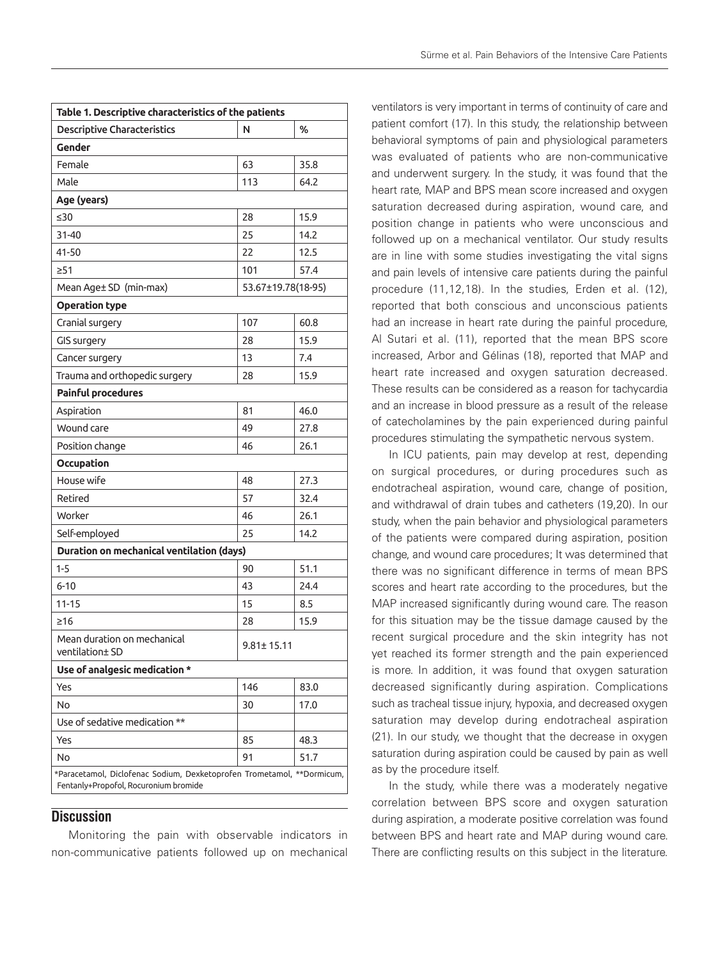| Table 1. Descriptive characteristics of the patients                                                            |                    |      |  |
|-----------------------------------------------------------------------------------------------------------------|--------------------|------|--|
| <b>Descriptive Characteristics</b>                                                                              | N                  | ℅    |  |
| Gender                                                                                                          |                    |      |  |
| Female                                                                                                          | 63                 | 35.8 |  |
| Male                                                                                                            | 113                | 64.2 |  |
| Age (years)                                                                                                     |                    |      |  |
| $\leq 30$                                                                                                       | 28                 | 15.9 |  |
| 31-40                                                                                                           | 25                 | 14.2 |  |
| 41-50                                                                                                           | 22                 | 12.5 |  |
| >51                                                                                                             | 101                | 57.4 |  |
| Mean Age± SD (min-max)                                                                                          | 53.67±19.78(18-95) |      |  |
| <b>Operation type</b>                                                                                           |                    |      |  |
| Cranial surgery                                                                                                 | 107                | 60.8 |  |
| GIS surgery                                                                                                     | 28                 | 15.9 |  |
| Cancer surgery                                                                                                  | 13                 | 7.4  |  |
| Trauma and orthopedic surgery                                                                                   | 28                 | 15.9 |  |
| Painful procedures                                                                                              |                    |      |  |
| Aspiration                                                                                                      | 81                 | 46.0 |  |
| Wound care                                                                                                      | 49                 | 27.8 |  |
| Position change                                                                                                 | 46                 | 26.1 |  |
| Occupation                                                                                                      |                    |      |  |
| House wife                                                                                                      | 48                 | 27.3 |  |
| Retired                                                                                                         | 57                 | 32.4 |  |
| Worker                                                                                                          | 46                 | 26.1 |  |
| Self-employed                                                                                                   | 25                 | 14.2 |  |
| Duration on mechanical ventilation (days)                                                                       |                    |      |  |
| $1 - 5$                                                                                                         | 90                 | 51.1 |  |
| $6 - 10$                                                                                                        | 43                 | 24.4 |  |
| $11 - 15$                                                                                                       | 15                 | 8.5  |  |
| $\geq 16$                                                                                                       | 28                 | 15.9 |  |
| Mean duration on mechanical<br>ventilation± SD                                                                  | $9.81 \pm 15.11$   |      |  |
| Use of analgesic medication *                                                                                   |                    |      |  |
| Yes                                                                                                             | 146                | 83.0 |  |
| No                                                                                                              | 30                 | 17.0 |  |
| Use of sedative medication **                                                                                   |                    |      |  |
| Yes                                                                                                             | 85                 | 48.3 |  |
| No                                                                                                              | 91                 | 51.7 |  |
| *Paracetamol, Diclofenac Sodium, Dexketoprofen Trometamol, **Dormicum,<br>Fentanly+Propofol, Rocuronium bromide |                    |      |  |

# **Discussion**

Monitoring the pain with observable indicators in non-communicative patients followed up on mechanical ventilators is very important in terms of continuity of care and patient comfort (17). In this study, the relationship between behavioral symptoms of pain and physiological parameters was evaluated of patients who are non-communicative and underwent surgery. In the study, it was found that the heart rate, MAP and BPS mean score increased and oxygen saturation decreased during aspiration, wound care, and position change in patients who were unconscious and followed up on a mechanical ventilator. Our study results are in line with some studies investigating the vital signs and pain levels of intensive care patients during the painful procedure (11,12,18). In the studies, Erden et al. (12), reported that both conscious and unconscious patients

had an increase in heart rate during the painful procedure, Al Sutari et al. (11), reported that the mean BPS score increased, Arbor and Gélinas (18), reported that MAP and heart rate increased and oxygen saturation decreased. These results can be considered as a reason for tachycardia and an increase in blood pressure as a result of the release

of catecholamines by the pain experienced during painful procedures stimulating the sympathetic nervous system. In ICU patients, pain may develop at rest, depending on surgical procedures, or during procedures such as endotracheal aspiration, wound care, change of position, and withdrawal of drain tubes and catheters (19,20). In our study, when the pain behavior and physiological parameters of the patients were compared during aspiration, position change, and wound care procedures; It was determined that there was no significant difference in terms of mean BPS scores and heart rate according to the procedures, but the MAP increased significantly during wound care. The reason for this situation may be the tissue damage caused by the recent surgical procedure and the skin integrity has not yet reached its former strength and the pain experienced is more. In addition, it was found that oxygen saturation decreased significantly during aspiration. Complications such as tracheal tissue injury, hypoxia, and decreased oxygen saturation may develop during endotracheal aspiration (21). In our study, we thought that the decrease in oxygen saturation during aspiration could be caused by pain as well as by the procedure itself.

In the study, while there was a moderately negative correlation between BPS score and oxygen saturation during aspiration, a moderate positive correlation was found between BPS and heart rate and MAP during wound care. There are conflicting results on this subject in the literature.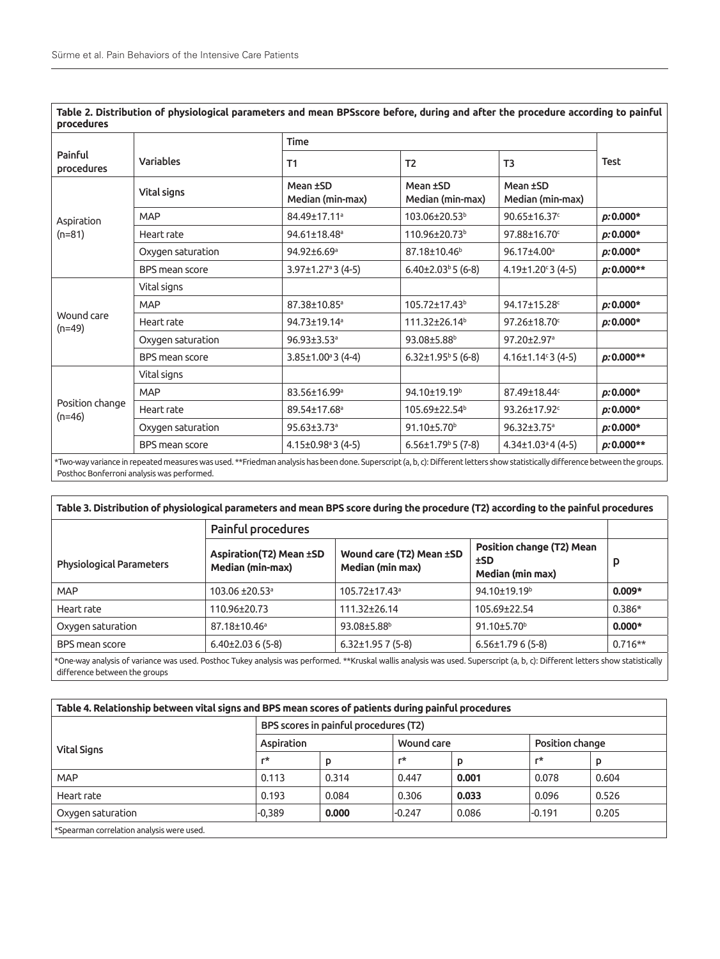|                             |                       | <b>Time</b>                          |                                      |                                      |              |  |
|-----------------------------|-----------------------|--------------------------------------|--------------------------------------|--------------------------------------|--------------|--|
| Painful<br>procedures       | <b>Variables</b>      | T1                                   | T <sub>2</sub>                       | T3                                   | <b>Test</b>  |  |
| Aspiration<br>$(n=81)$      | Vital signs           | Mean ±SD<br>Median (min-max)         | Mean ±SD<br>Median (min-max)         | Mean ±SD<br>Median (min-max)         |              |  |
|                             | <b>MAP</b>            | 84.49±17.11 <sup>a</sup>             | 103.06±20.53 <sup>b</sup>            | 90.65±16.37c                         | $p: 0.000*$  |  |
|                             | Heart rate            | 94.61±18.48 <sup>a</sup>             | 110.96±20.73 <sup>b</sup>            | 97.88±16.70°                         | $p: 0.000*$  |  |
|                             | Oxygen saturation     | 94.92±6.69ª                          | 87.18±10.46 <sup>b</sup>             | 96.17±4.00 <sup>a</sup>              | $p: 0.000*$  |  |
|                             | <b>BPS</b> mean score | $3.97 \pm 1.27$ <sup>a</sup> 3 (4-5) | $6.40\pm2.03^{\circ}5(6-8)$          | $4.19 \pm 1.20$ $3(4-5)$             | $p: 0.000**$ |  |
| Wound care<br>$(n=49)$      | Vital signs           |                                      |                                      |                                      |              |  |
|                             | <b>MAP</b>            | 87.38±10.85 <sup>a</sup>             | 105.72±17.43 <sup>b</sup>            | 94.17±15.28c                         | $p: 0.000*$  |  |
|                             | Heart rate            | 94.73±19.14ª                         | 111.32±26.14 <sup>b</sup>            | 97.26±18.70c                         | $p: 0.000*$  |  |
|                             | Oxygen saturation     | 96.93±3.53 <sup>a</sup>              | $93.08 \pm 5.88$ <sup>b</sup>        | 97.20±2.97 <sup>a</sup>              |              |  |
|                             | BPS mean score        | $3.85 \pm 1.00$ <sup>a</sup> 3 (4-4) | $6.32 \pm 1.95$ <sup>b</sup> 5 (6-8) | $4.16 \pm 1.14$ <sup>c</sup> 3 (4-5) | $p: 0.000**$ |  |
| Position change<br>$(n=46)$ | Vital signs           |                                      |                                      |                                      |              |  |
|                             | <b>MAP</b>            | 83.56±16.99 <sup>a</sup>             | 94.10±19.19 <sup>b</sup>             | 87.49±18.44c                         | $p: 0.000*$  |  |
|                             | Heart rate            | 89.54±17.68 <sup>a</sup>             | 105.69±22.54 <sup>b</sup>            | 93.26±17.92°                         | $p: 0.000*$  |  |
|                             | Oxygen saturation     | 95.63±3.73 <sup>a</sup>              | 91.10±5.70 <sup>b</sup>              | 96.32±3.75 <sup>a</sup>              | $p: 0.000*$  |  |
|                             | BPS mean score        | $4.15 \pm 0.98$ <sup>a</sup> 3 (4-5) | $6.56 \pm 1.79$ <sup>b</sup> 5 (7-8) | $4.34\pm1.03$ <sup>a</sup> 4 (4-5)   | $p: 0.000**$ |  |

**Table 2. Distribution of physiological parameters and mean BPSscore before, during and after the procedure according to painful** 

Two-way variance in repeated measures was used. \*\*Friedman analysis has been done. Superscript (a, b, c): Different letters show statistically difference between the g Posthoc Bonferroni analysis was performed.

| Table 3. Distribution of physiological parameters and mean BPS score during the procedure (T2) according to the painful procedures |                                                           |                                              |                                                                    |           |  |
|------------------------------------------------------------------------------------------------------------------------------------|-----------------------------------------------------------|----------------------------------------------|--------------------------------------------------------------------|-----------|--|
|                                                                                                                                    | <b>Painful procedures</b>                                 |                                              |                                                                    |           |  |
| <b>Physiological Parameters</b>                                                                                                    | <b>Aspiration(T2) Mean ±SD</b><br><b>Median (min-max)</b> | Wound care (T2) Mean ±SD<br>Median (min max) | <b>Position change (T2) Mean</b><br>±SD<br><b>Median (min max)</b> | p         |  |
| <b>MAP</b>                                                                                                                         | $103.06 \pm 20.53$ <sup>a</sup>                           | $105.72 \pm 17.43$ <sup>a</sup>              | 94.10±19.19 <sup>b</sup>                                           | $0.009*$  |  |
| Heart rate                                                                                                                         | 110.96±20.73                                              | 111.32+26.14                                 | 105.69+22.54                                                       | $0.386*$  |  |
| Oxygen saturation                                                                                                                  | 87.18±10.46 <sup>a</sup>                                  | 93.08±5.88 <sup>b</sup>                      | 91.10 $\pm$ 5.70 $^{\circ}$                                        | $0.000*$  |  |
| BPS mean score                                                                                                                     | $6.40\pm2.036(5-8)$                                       | $6.32\pm1.95$ 7 (5-8)                        | $6.56\pm1.796(5-8)$                                                | $0.716**$ |  |

\*One-way analysis of variance was used. Posthoc Tukey analysis was performed. \*\*Kruskal wallis analysis was used. Superscript (a, b, c): Different letters show statistically difference between the groups

| Table 4. Relationship between vital signs and BPS mean scores of patients during painful procedures |                                       |       |            |       |                 |       |
|-----------------------------------------------------------------------------------------------------|---------------------------------------|-------|------------|-------|-----------------|-------|
|                                                                                                     | BPS scores in painful procedures (T2) |       |            |       |                 |       |
| <b>Vital Signs</b>                                                                                  | Aspiration                            |       | Wound care |       | Position change |       |
|                                                                                                     | г*                                    | p     | $r^*$      | D     | г*              | p     |
| <b>MAP</b>                                                                                          | 0.113                                 | 0.314 | 0.447      | 0.001 | 0.078           | 0.604 |
| Heart rate                                                                                          | 0.193                                 | 0.084 | 0.306      | 0.033 | 0.096           | 0.526 |
| Oxygen saturation                                                                                   | $-0.389$                              | 0.000 | $-0.247$   | 0.086 | $-0.191$        | 0.205 |
| *Spearman correlation analysis were used.                                                           |                                       |       |            |       |                 |       |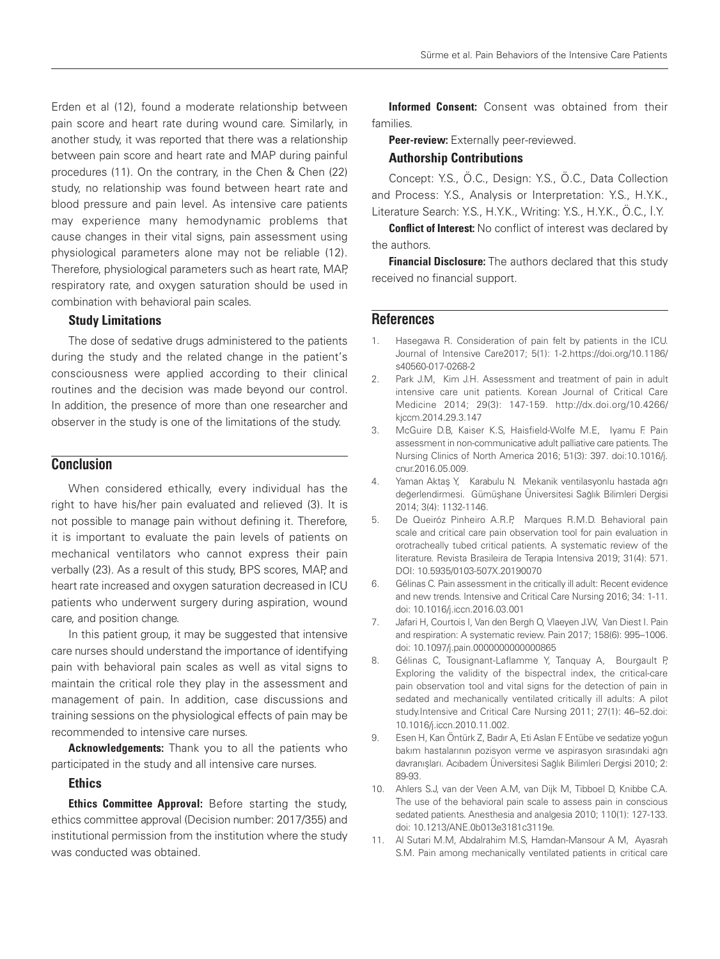Erden et al (12), found a moderate relationship between pain score and heart rate during wound care. Similarly, in another study, it was reported that there was a relationship between pain score and heart rate and MAP during painful procedures (11). On the contrary, in the Chen & Chen (22) study, no relationship was found between heart rate and blood pressure and pain level. As intensive care patients may experience many hemodynamic problems that cause changes in their vital signs, pain assessment using physiological parameters alone may not be reliable (12). Therefore, physiological parameters such as heart rate, MAP, respiratory rate, and oxygen saturation should be used in combination with behavioral pain scales.

### Study Limitations

The dose of sedative drugs administered to the patients during the study and the related change in the patient's consciousness were applied according to their clinical routines and the decision was made beyond our control. In addition, the presence of more than one researcher and observer in the study is one of the limitations of the study.

## **Conclusion**

When considered ethically, every individual has the right to have his/her pain evaluated and relieved (3). It is not possible to manage pain without defining it. Therefore, it is important to evaluate the pain levels of patients on mechanical ventilators who cannot express their pain verbally (23). As a result of this study, BPS scores, MAP, and heart rate increased and oxygen saturation decreased in ICU patients who underwent surgery during aspiration, wound care, and position change.

In this patient group, it may be suggested that intensive care nurses should understand the importance of identifying pain with behavioral pain scales as well as vital signs to maintain the critical role they play in the assessment and management of pain. In addition, case discussions and training sessions on the physiological effects of pain may be recommended to intensive care nurses.

Acknowledgements: Thank you to all the patients who participated in the study and all intensive care nurses.

### Ethics

Ethics Committee Approval: Before starting the study, ethics committee approval (Decision number: 2017/355) and institutional permission from the institution where the study was conducted was obtained.

Informed Consent: Consent was obtained from their families.

Peer-review: Externally peer-reviewed.

#### Authorship Contributions

Concept: Y.S., Ö.C., Design: Y.S., Ö.C., Data Collection and Process: Y.S., Analysis or Interpretation: Y.S., H.Y.K., Literature Search: Y.S., H.Y.K., Writing: Y.S., H.Y.K., Ö.C., İ.Y.

**Conflict of Interest:** No conflict of interest was declared by the authors.

**Financial Disclosure:** The authors declared that this study received no financial support.

## **References**

- 1. Hasegawa R. Consideration of pain felt by patients in the ICU. Journal of Intensive Care2017; 5(1): 1-2.https://doi.org/10.1186/ s40560-017-0268-2
- 2. Park J.M, Kim J.H. Assessment and treatment of pain in adult intensive care unit patients. Korean Journal of Critical Care Medicine 2014; 29(3): 147-159. http://dx.doi.org/10.4266/ kjccm.2014.29.3.147
- 3. McGuire D.B, Kaiser K.S, Haisfield-Wolfe M.E, Iyamu F. Pain assessment in non-communicative adult palliative care patients. The Nursing Clinics of North America 2016; 51(3): 397. doi:10.1016/j. cnur.2016.05.009.
- 4. Yaman Aktaş Y, Karabulu N. Mekanik ventilasyonlu hastada ağrı değerlendirmesi. Gümüşhane Üniversitesi Sağlık Bilimleri Dergisi 2014; 3(4): 1132-1146.
- 5. De Queiróz Pinheiro A.R.P, Marques R.M.D. Behavioral pain scale and critical care pain observation tool for pain evaluation in orotracheally tubed critical patients. A systematic review of the literature. Revista Brasileira de Terapia Intensiva 2019; 31(4): 571. DOI: 10.5935/0103-507X.20190070
- 6. Gélinas C. Pain assessment in the critically ill adult: Recent evidence and new trends. Intensive and Critical Care Nursing 2016; 34: 1-11. doi: 10.1016/j.iccn.2016.03.001
- 7. Jafari H, Courtois I, Van den Bergh O, Vlaeyen J.W, Van Diest I. Pain and respiration: A systematic review. Pain 2017; 158(6): 995–1006. doi: 10.1097/j.pain.0000000000000865
- 8. Gélinas C, Tousignant-Laflamme Y, Tanquay A, Bourgault P, Exploring the validity of the bispectral index, the critical-care pain observation tool and vital signs for the detection of pain in sedated and mechanically ventilated critically ill adults: A pilot study.Intensive and Critical Care Nursing 2011; 27(1): 46–52.doi: 10.1016/j.iccn.2010.11.002.
- 9. Esen H, Kan Öntürk Z, Badır A, Eti Aslan F. Entübe ve sedatize yoğun bakım hastalarının pozisyon verme ve aspirasyon sırasındaki ağrı davranışları. Acıbadem Üniversitesi Sağlık Bilimleri Dergisi 2010; 2: 89-93.
- 10. Ahlers S.J, van der Veen A.M, van Dijk M, Tibboel D, Knibbe C.A. The use of the behavioral pain scale to assess pain in conscious sedated patients. Anesthesia and analgesia 2010; 110(1): 127-133. doi: 10.1213/ANE.0b013e3181c3119e.
- 11. Al Sutari M.M, Abdalrahim M.S, Hamdan-Mansour A M, Ayasrah S.M. Pain among mechanically ventilated patients in critical care